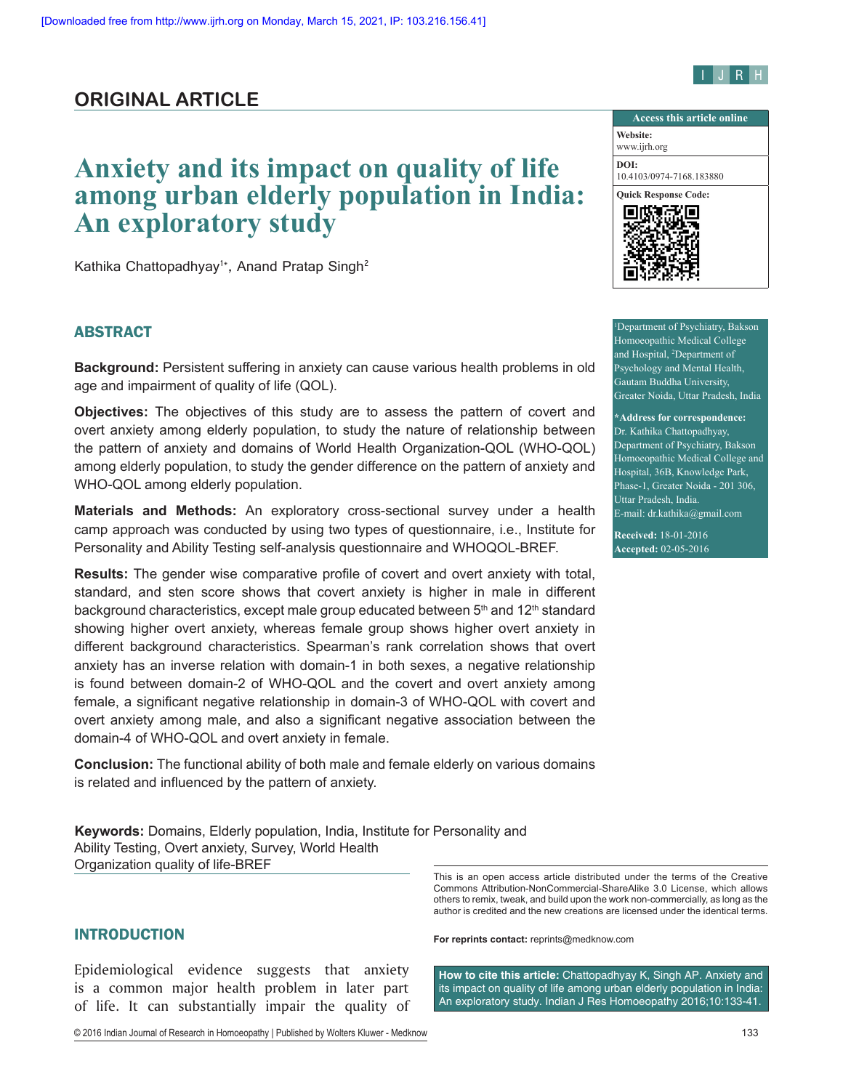## **ORIGINAL ARTICLE**

# **Anxiety and its impact on quality of life among urban elderly population in India: An exploratory study**

Kathika Chattopadhyay<sup>1\*</sup>, Anand Pratap Singh<sup>2</sup>

### ABSTRACT

**Background:** Persistent suffering in anxiety can cause various health problems in old age and impairment of quality of life (QOL).

**Objectives:** The objectives of this study are to assess the pattern of covert and overt anxiety among elderly population, to study the nature of relationship between the pattern of anxiety and domains of World Health Organization‑QOL (WHO‑QOL) among elderly population, to study the gender difference on the pattern of anxiety and WHO‑QOL among elderly population.

**Materials and Methods:** An exploratory cross‑sectional survey under a health camp approach was conducted by using two types of questionnaire, i.e., Institute for Personality and Ability Testing self-analysis questionnaire and WHOQOL-BREF.

**Results:** The gender wise comparative profile of covert and overt anxiety with total, standard, and sten score shows that covert anxiety is higher in male in different background characteristics, except male group educated between  $5<sup>th</sup>$  and 12<sup>th</sup> standard showing higher overt anxiety, whereas female group shows higher overt anxiety in different background characteristics. Spearman's rank correlation shows that overt anxiety has an inverse relation with domain-1 in both sexes, a negative relationship is found between domain-2 of WHO-QOL and the covert and overt anxiety among female, a significant negative relationship in domain-3 of WHO-QOL with covert and overt anxiety among male, and also a significant negative association between the domain‑4 of WHO‑QOL and overt anxiety in female.

**Conclusion:** The functional ability of both male and female elderly on various domains is related and influenced by the pattern of anxiety.

**Keywords:** Domains, Elderly population, India, Institute for Personality and Ability Testing, Overt anxiety, Survey, World Health Organization quality of life‑BREF

Epidemiological evidence suggests that anxiety is a common major health problem in later part of life. It can substantially impair the quality of

© 2016 Indian Journal of Research in Homoeopathy | Published by Wolters Kluwer - Medknow 133



1 Department of Psychiatry, Bakson Homoeopathic Medical College and Hospital, 2 Department of Psychology and Mental Health, Gautam Buddha University, Greater Noida, Uttar Pradesh, India

**\*Address for correspondence:** Dr. Kathika Chattopadhyay, Department of Psychiatry, Bakson Homoeopathic Medical College and Hospital, 36B, Knowledge Park, Phase-1, Greater Noida - 201 306, Uttar Pradesh, India. E-mail: dr.kathika@gmail.com

**Received:** 18-01-2016 **Accepted:** 02-05-2016

This is an open access article distributed under the terms of the Creative Commons Attribution‑NonCommercial‑ShareAlike 3.0 License, which allows others to remix, tweak, and build upon the work non‑commercially, as long as the author is credited and the new creations are licensed under the identical terms.

INTRODUCTION **For reprints contact:** reprints@medknow.com

**How to cite this article:** Chattopadhyay K, Singh AP. Anxiety and its impact on quality of life among urban elderly population in India: An exploratory study. Indian J Res Homoeopathy 2016;10:133-41.

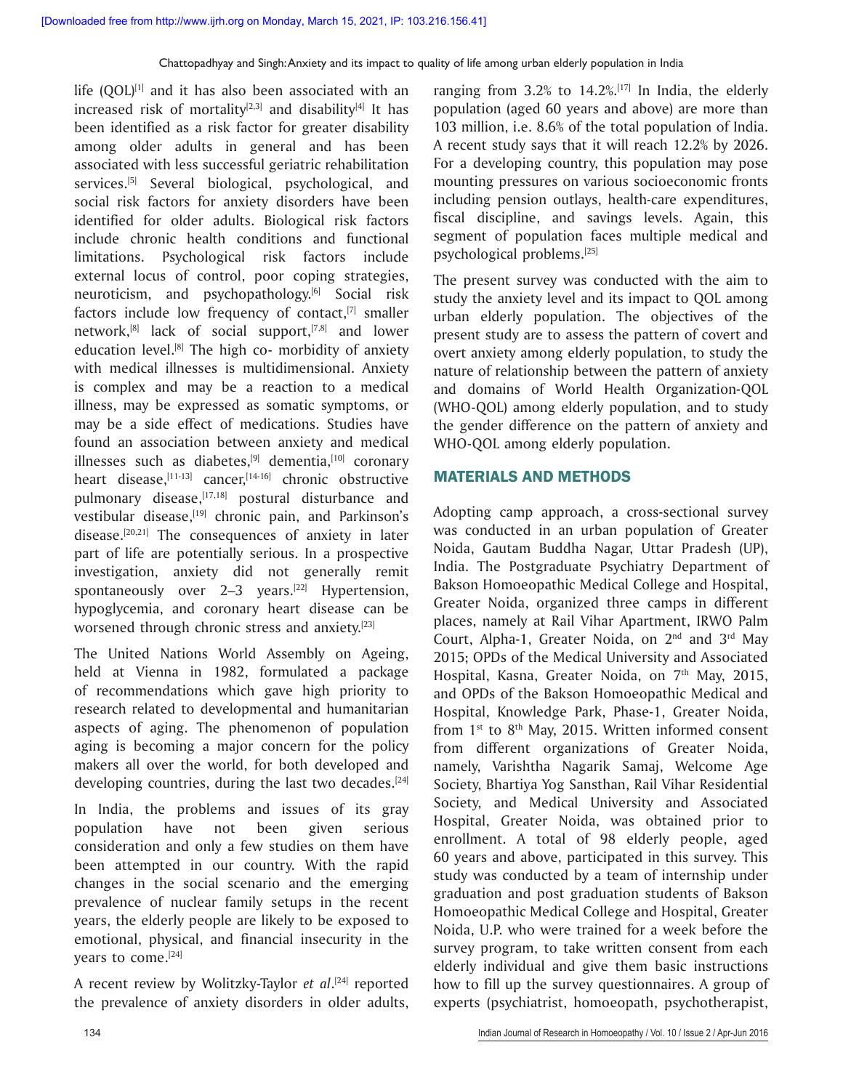life  $(QOL)^{[1]}$  and it has also been associated with an increased risk of mortality<sup>[2,3]</sup> and disability<sup>[4]</sup> It has been identified as a risk factor for greater disability among older adults in general and has been associated with less successful geriatric rehabilitation services.<sup>[5]</sup> Several biological, psychological, and social risk factors for anxiety disorders have been identified for older adults. Biological risk factors include chronic health conditions and functional limitations. Psychological risk factors include external locus of control, poor coping strategies, neuroticism, and psychopathology.<sup>[6]</sup> Social risk factors include low frequency of contact, $[7]$  smaller network, $[8]$  lack of social support, $[7,8]$  and lower education level.<sup>[8]</sup> The high co- morbidity of anxiety with medical illnesses is multidimensional. Anxiety is complex and may be a reaction to a medical illness, may be expressed as somatic symptoms, or may be a side effect of medications. Studies have found an association between anxiety and medical illnesses such as diabetes, $[9]$  dementia, $[10]$  coronary heart disease,<sup>[11-13]</sup> cancer,<sup>[14-16]</sup> chronic obstructive pulmonary disease,<sup>[17,18]</sup> postural disturbance and vestibular disease,<sup>[19]</sup> chronic pain, and Parkinson's disease.[20,21] The consequences of anxiety in later part of life are potentially serious. In a prospective investigation, anxiety did not generally remit spontaneously over  $2-3$  years.<sup>[22]</sup> Hypertension, hypoglycemia, and coronary heart disease can be worsened through chronic stress and anxiety.<sup>[23]</sup>

The United Nations World Assembly on Ageing, held at Vienna in 1982, formulated a package of recommendations which gave high priority to research related to developmental and humanitarian aspects of aging. The phenomenon of population aging is becoming a major concern for the policy makers all over the world, for both developed and developing countries, during the last two decades.<sup>[24]</sup>

In India, the problems and issues of its gray population have not been given serious consideration and only a few studies on them have been attempted in our country. With the rapid changes in the social scenario and the emerging prevalence of nuclear family setups in the recent years, the elderly people are likely to be exposed to emotional, physical, and financial insecurity in the years to come.[24]

A recent review by Wolitzky-Taylor *et al*. [24] reported the prevalence of anxiety disorders in older adults,

ranging from  $3.2\%$  to  $14.2\%$ .[17] In India, the elderly population (aged 60 years and above) are more than 103 million, i.e. 8.6% of the total population of India. A recent study says that it will reach 12.2% by 2026. For a developing country, this population may pose mounting pressures on various socioeconomic fronts including pension outlays, health-care expenditures, fiscal discipline, and savings levels. Again, this segment of population faces multiple medical and psychological problems.[25]

The present survey was conducted with the aim to study the anxiety level and its impact to QOL among urban elderly population. The objectives of the present study are to assess the pattern of covert and overt anxiety among elderly population, to study the nature of relationship between the pattern of anxiety and domains of World Health Organization-QOL (WHO-QOL) among elderly population, and to study the gender difference on the pattern of anxiety and WHO-QOL among elderly population.

#### MATERIALS AND METHODS

Adopting camp approach, a cross-sectional survey was conducted in an urban population of Greater Noida, Gautam Buddha Nagar, Uttar Pradesh (UP), India. The Postgraduate Psychiatry Department of Bakson Homoeopathic Medical College and Hospital, Greater Noida, organized three camps in different places, namely at Rail Vihar Apartment, IRWO Palm Court, Alpha-1, Greater Noida, on  $2<sup>nd</sup>$  and  $3<sup>rd</sup>$  May 2015; OPDs of the Medical University and Associated Hospital, Kasna, Greater Noida, on 7<sup>th</sup> May, 2015, and OPDs of the Bakson Homoeopathic Medical and Hospital, Knowledge Park, Phase-1, Greater Noida, from  $1<sup>st</sup>$  to  $8<sup>th</sup>$  May, 2015. Written informed consent from different organizations of Greater Noida, namely, Varishtha Nagarik Samaj, Welcome Age Society, Bhartiya Yog Sansthan, Rail Vihar Residential Society, and Medical University and Associated Hospital, Greater Noida, was obtained prior to enrollment. A total of 98 elderly people, aged 60 years and above, participated in this survey. This study was conducted by a team of internship under graduation and post graduation students of Bakson Homoeopathic Medical College and Hospital, Greater Noida, U.P. who were trained for a week before the survey program, to take written consent from each elderly individual and give them basic instructions how to fill up the survey questionnaires. A group of experts (psychiatrist, homoeopath, psychotherapist,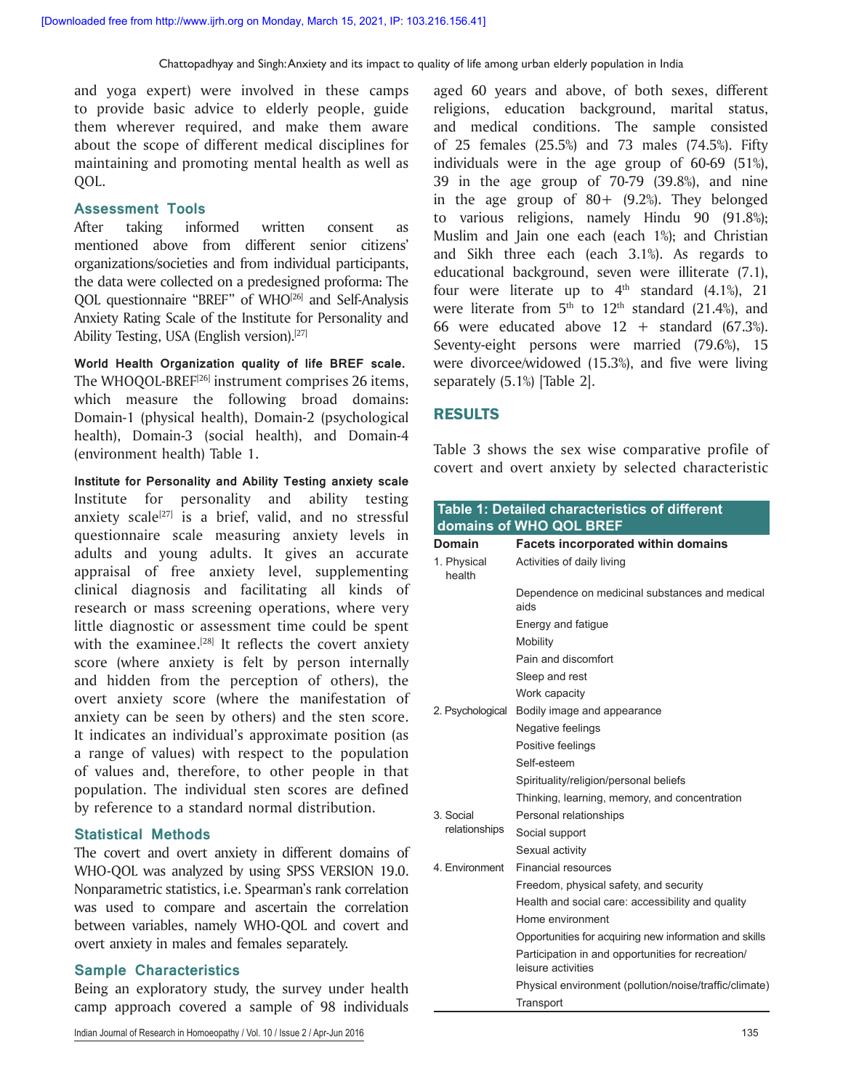and yoga expert) were involved in these camps to provide basic advice to elderly people, guide them wherever required, and make them aware about the scope of different medical disciplines for maintaining and promoting mental health as well as QOL.

#### **Assessment Tools**

After taking informed written consent as mentioned above from different senior citizens' organizations/societies and from individual participants, the data were collected on a predesigned proforma: The QOL questionnaire "BREF" of WHO<sup>[26]</sup> and Self-Analysis Anxiety Rating Scale of the Institute for Personality and Ability Testing, USA (English version).<sup>[27]</sup>

**World Health Organization quality of life BREF scale.** The WHOQOL-BREF[26] instrument comprises 26 items, which measure the following broad domains: Domain-1 (physical health), Domain-2 (psychological health), Domain-3 (social health), and Domain-4 (environment health) Table 1.

**Institute for Personality and Ability Testing anxiety scale** Institute for personality and ability testing anxiety scale<sup>[27]</sup> is a brief, valid, and no stressful questionnaire scale measuring anxiety levels in adults and young adults. It gives an accurate appraisal of free anxiety level, supplementing clinical diagnosis and facilitating all kinds of research or mass screening operations, where very little diagnostic or assessment time could be spent with the examinee.<sup>[28]</sup> It reflects the covert anxiety score (where anxiety is felt by person internally and hidden from the perception of others), the overt anxiety score (where the manifestation of anxiety can be seen by others) and the sten score. It indicates an individual's approximate position (as a range of values) with respect to the population of values and, therefore, to other people in that population. The individual sten scores are defined by reference to a standard normal distribution.

#### **Statistical Methods**

The covert and overt anxiety in different domains of WHO-QOL was analyzed by using SPSS VERSION 19.0. Nonparametric statistics, i.e. Spearman's rank correlation was used to compare and ascertain the correlation between variables, namely WHO-QOL and covert and overt anxiety in males and females separately.

#### **Sample Characteristics**

Being an exploratory study, the survey under health camp approach covered a sample of 98 individuals

aged 60 years and above, of both sexes, different religions, education background, marital status, and medical conditions. The sample consisted of 25 females (25.5%) and 73 males (74.5%). Fifty individuals were in the age group of 60-69 (51%), 39 in the age group of 70-79 (39.8%), and nine in the age group of  $80+$  (9.2%). They belonged to various religions, namely Hindu 90 (91.8%); Muslim and Jain one each (each 1%); and Christian and Sikh three each (each 3.1%). As regards to educational background, seven were illiterate (7.1), four were literate up to  $4<sup>th</sup>$  standard (4.1%), 21 were literate from  $5<sup>th</sup>$  to  $12<sup>th</sup>$  standard (21.4%), and 66 were educated above  $12 +$  standard (67.3%). Seventy-eight persons were married (79.6%), 15 were divorcee/widowed (15.3%), and five were living separately (5.1%) [Table 2].

#### RESULTS

Table 3 shows the sex wise comparative profile of covert and overt anxiety by selected characteristic

|                       | Table 1: Detailed characteristics of different<br>domains of WHO QOL BREF |  |  |  |  |  |  |
|-----------------------|---------------------------------------------------------------------------|--|--|--|--|--|--|
| Domain                | <b>Facets incorporated within domains</b>                                 |  |  |  |  |  |  |
| 1. Physical<br>health | Activities of daily living                                                |  |  |  |  |  |  |
|                       | Dependence on medicinal substances and medical<br>aids                    |  |  |  |  |  |  |
|                       | Energy and fatigue                                                        |  |  |  |  |  |  |
|                       | Mobility                                                                  |  |  |  |  |  |  |
|                       | Pain and discomfort                                                       |  |  |  |  |  |  |
|                       | Sleep and rest                                                            |  |  |  |  |  |  |
|                       | Work capacity                                                             |  |  |  |  |  |  |
| 2. Psychological      | Bodily image and appearance                                               |  |  |  |  |  |  |
|                       | Negative feelings                                                         |  |  |  |  |  |  |
|                       | Positive feelings                                                         |  |  |  |  |  |  |
|                       | Self-esteem                                                               |  |  |  |  |  |  |
|                       | Spirituality/religion/personal beliefs                                    |  |  |  |  |  |  |
|                       | Thinking, learning, memory, and concentration                             |  |  |  |  |  |  |
| 3. Social             | Personal relationships                                                    |  |  |  |  |  |  |
| relationships         | Social support                                                            |  |  |  |  |  |  |
|                       | Sexual activity                                                           |  |  |  |  |  |  |
| 4. Environment        | <b>Financial resources</b>                                                |  |  |  |  |  |  |
|                       | Freedom, physical safety, and security                                    |  |  |  |  |  |  |
|                       | Health and social care: accessibility and quality                         |  |  |  |  |  |  |
|                       | Home environment                                                          |  |  |  |  |  |  |
|                       | Opportunities for acquiring new information and skills                    |  |  |  |  |  |  |
|                       | Participation in and opportunities for recreation/<br>leisure activities  |  |  |  |  |  |  |
|                       | Physical environment (pollution/noise/traffic/climate)                    |  |  |  |  |  |  |
|                       | Transport                                                                 |  |  |  |  |  |  |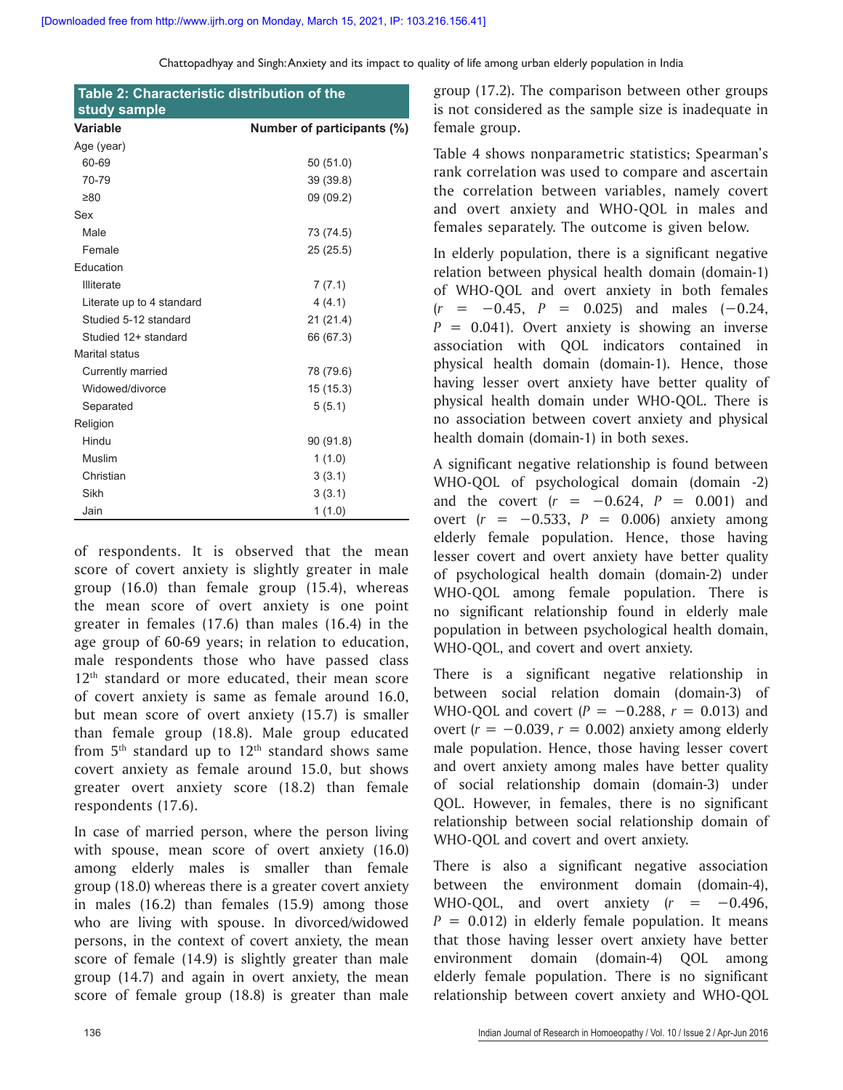| Table 2: Characteristic distribution of the |                            |  |  |  |  |  |  |  |
|---------------------------------------------|----------------------------|--|--|--|--|--|--|--|
| study sample                                |                            |  |  |  |  |  |  |  |
| <b>Variable</b>                             | Number of participants (%) |  |  |  |  |  |  |  |
| Age (year)                                  |                            |  |  |  |  |  |  |  |
| 60-69                                       | 50 (51.0)                  |  |  |  |  |  |  |  |
| 70-79                                       | 39 (39.8)                  |  |  |  |  |  |  |  |
| $\geq 80$                                   | 09 (09.2)                  |  |  |  |  |  |  |  |
| Sex                                         |                            |  |  |  |  |  |  |  |
| Male                                        | 73 (74.5)                  |  |  |  |  |  |  |  |
| Female                                      | 25 (25.5)                  |  |  |  |  |  |  |  |
| Education                                   |                            |  |  |  |  |  |  |  |
| <b>Illiterate</b>                           | 7(7.1)                     |  |  |  |  |  |  |  |
| Literate up to 4 standard                   | 4(4.1)                     |  |  |  |  |  |  |  |
| Studied 5-12 standard                       | 21 (21.4)                  |  |  |  |  |  |  |  |
| Studied 12+ standard                        | 66 (67.3)                  |  |  |  |  |  |  |  |
| Marital status                              |                            |  |  |  |  |  |  |  |
| Currently married                           | 78 (79.6)                  |  |  |  |  |  |  |  |
| Widowed/divorce                             | 15 (15.3)                  |  |  |  |  |  |  |  |
| Separated                                   | 5(5.1)                     |  |  |  |  |  |  |  |
| Religion                                    |                            |  |  |  |  |  |  |  |
| Hindu                                       | 90 (91.8)                  |  |  |  |  |  |  |  |
| Muslim                                      | 1(1.0)                     |  |  |  |  |  |  |  |
| Christian                                   | 3(3.1)                     |  |  |  |  |  |  |  |
| Sikh                                        | 3(3.1)                     |  |  |  |  |  |  |  |
| Jain                                        | 1(1.0)                     |  |  |  |  |  |  |  |

of respondents. It is observed that the mean score of covert anxiety is slightly greater in male group (16.0) than female group (15.4), whereas the mean score of overt anxiety is one point greater in females (17.6) than males (16.4) in the age group of 60-69 years; in relation to education, male respondents those who have passed class 12<sup>th</sup> standard or more educated, their mean score of covert anxiety is same as female around 16.0, but mean score of overt anxiety (15.7) is smaller than female group (18.8). Male group educated from  $5<sup>th</sup>$  standard up to  $12<sup>th</sup>$  standard shows same covert anxiety as female around 15.0, but shows greater overt anxiety score (18.2) than female respondents (17.6).

In case of married person, where the person living with spouse, mean score of overt anxiety (16.0) among elderly males is smaller than female group (18.0) whereas there is a greater covert anxiety in males (16.2) than females (15.9) among those who are living with spouse. In divorced/widowed persons, in the context of covert anxiety, the mean score of female (14.9) is slightly greater than male group (14.7) and again in overt anxiety, the mean score of female group (18.8) is greater than male

group (17.2). The comparison between other groups is not considered as the sample size is inadequate in female group.

Table 4 shows nonparametric statistics; Spearman's rank correlation was used to compare and ascertain the correlation between variables, namely covert and overt anxiety and WHO-QOL in males and females separately. The outcome is given below.

In elderly population, there is a significant negative relation between physical health domain (domain-1) of WHO-QOL and overt anxiety in both females (*r* = −0.45, *P* = 0.025) and males (−0.24,  $P = 0.041$ . Overt anxiety is showing an inverse association with QOL indicators contained in physical health domain (domain-1). Hence, those having lesser overt anxiety have better quality of physical health domain under WHO-QOL. There is no association between covert anxiety and physical health domain (domain-1) in both sexes.

A significant negative relationship is found between WHO-QOL of psychological domain (domain -2) and the covert  $(r = -0.624, P = 0.001)$  and overt (*r* = −0.533, *P* = 0.006) anxiety among elderly female population. Hence, those having lesser covert and overt anxiety have better quality of psychological health domain (domain-2) under WHO-QOL among female population. There is no significant relationship found in elderly male population in between psychological health domain, WHO-QOL, and covert and overt anxiety.

There is a significant negative relationship in between social relation domain (domain-3) of WHO-QOL and covert ( $P = -0.288$ ,  $r = 0.013$ ) and overt  $(r = -0.039, r = 0.002)$  anxiety among elderly male population. Hence, those having lesser covert and overt anxiety among males have better quality of social relationship domain (domain-3) under QOL. However, in females, there is no significant relationship between social relationship domain of WHO-QOL and covert and overt anxiety.

There is also a significant negative association between the environment domain (domain-4), WHO-QOL, and overt anxiety  $(r = -0.496,$  $P = 0.012$  in elderly female population. It means that those having lesser overt anxiety have better environment domain (domain-4) QOL among elderly female population. There is no significant relationship between covert anxiety and WHO-QOL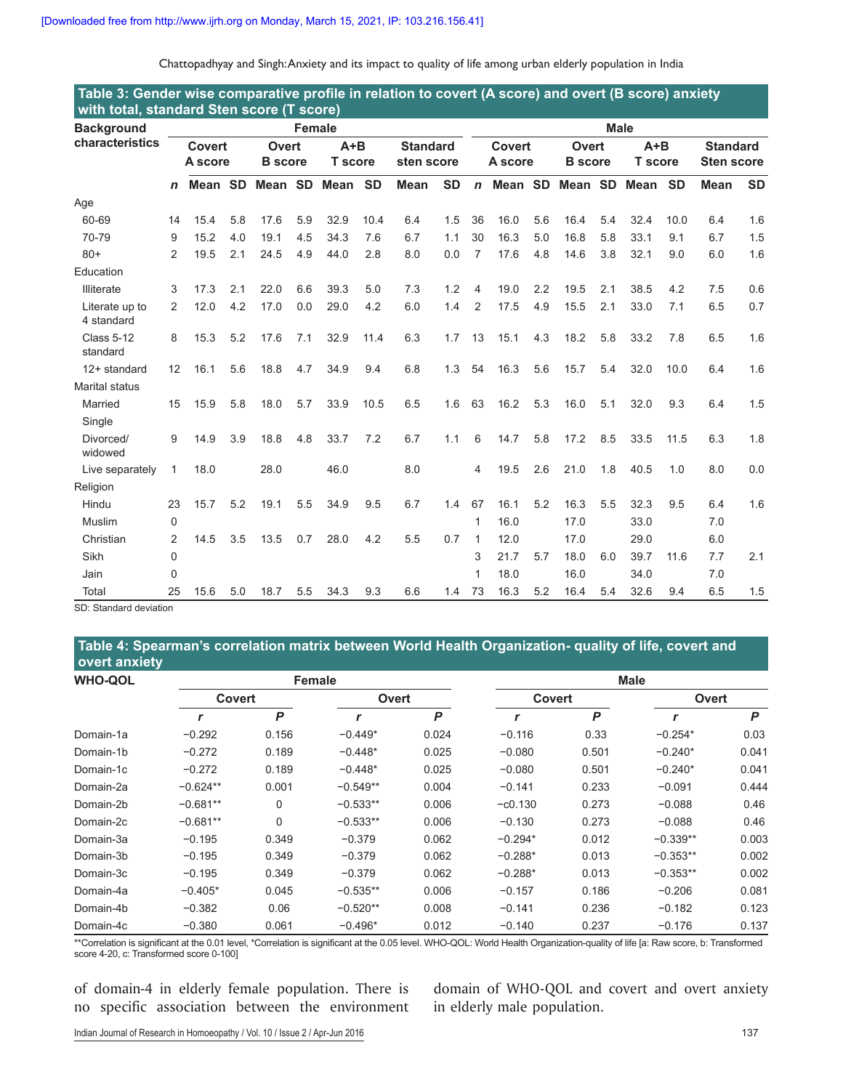| Chattopadhyay and Singh: Anxiety and its impact to quality of life among urban elderly population in India |  |  |  |
|------------------------------------------------------------------------------------------------------------|--|--|--|
|                                                                                                            |  |  |  |

| Table 3: Gender wise comparative profile in relation to covert (A score) and overt (B score) anxiety<br>with total, standard Sten score (T score) |                          |         |                         |         |                         |      |                               |             |             |                         |         |                         |         |                         |      |                                      |             |           |
|---------------------------------------------------------------------------------------------------------------------------------------------------|--------------------------|---------|-------------------------|---------|-------------------------|------|-------------------------------|-------------|-------------|-------------------------|---------|-------------------------|---------|-------------------------|------|--------------------------------------|-------------|-----------|
| <b>Background</b>                                                                                                                                 | Female                   |         |                         |         |                         |      |                               |             | <b>Male</b> |                         |         |                         |         |                         |      |                                      |             |           |
| characteristics                                                                                                                                   | <b>Covert</b><br>A score |         | Overt<br><b>B</b> score |         | $A+B$<br><b>T</b> score |      | <b>Standard</b><br>sten score |             |             | Covert<br>A score       |         | Overt<br><b>B</b> score |         | $A+B$<br><b>T</b> score |      | <b>Standard</b><br><b>Sten score</b> |             |           |
|                                                                                                                                                   | n                        | Mean SD |                         | Mean SD |                         | Mean | <b>SD</b>                     | <b>Mean</b> | <b>SD</b>   | $\mathsf{n}$            | Mean SD |                         | Mean SD |                         | Mean | <b>SD</b>                            | <b>Mean</b> | <b>SD</b> |
| Age                                                                                                                                               |                          |         |                         |         |                         |      |                               |             |             |                         |         |                         |         |                         |      |                                      |             |           |
| 60-69                                                                                                                                             | 14                       | 15.4    | 5.8                     | 17.6    | 5.9                     | 32.9 | 10.4                          | 6.4         | 1.5         | 36                      | 16.0    | 5.6                     | 16.4    | 5.4                     | 32.4 | 10.0                                 | 6.4         | 1.6       |
| 70-79                                                                                                                                             | 9                        | 15.2    | 4.0                     | 19.1    | 4.5                     | 34.3 | 7.6                           | 6.7         | 1.1         | 30                      | 16.3    | 5.0                     | 16.8    | 5.8                     | 33.1 | 9.1                                  | 6.7         | 1.5       |
| $80+$                                                                                                                                             | 2                        | 19.5    | 2.1                     | 24.5    | 4.9                     | 44.0 | 2.8                           | 8.0         | 0.0         | $\overline{7}$          | 17.6    | 4.8                     | 14.6    | 3.8                     | 32.1 | 9.0                                  | 6.0         | 1.6       |
| Education                                                                                                                                         |                          |         |                         |         |                         |      |                               |             |             |                         |         |                         |         |                         |      |                                      |             |           |
| <b>Illiterate</b>                                                                                                                                 | 3                        | 17.3    | 2.1                     | 22.0    | 6.6                     | 39.3 | 5.0                           | 7.3         | 1.2         | $\overline{4}$          | 19.0    | 2.2                     | 19.5    | 2.1                     | 38.5 | 4.2                                  | 7.5         | 0.6       |
| Literate up to<br>4 standard                                                                                                                      | 2                        | 12.0    | 4.2                     | 17.0    | 0.0                     | 29.0 | 4.2                           | 6.0         | 1.4         | $\overline{2}$          | 17.5    | 4.9                     | 15.5    | 2.1                     | 33.0 | 7.1                                  | 6.5         | 0.7       |
| <b>Class 5-12</b><br>standard                                                                                                                     | 8                        | 15.3    | 5.2                     | 17.6    | 7.1                     | 32.9 | 11.4                          | 6.3         | 1.7         | 13                      | 15.1    | 4.3                     | 18.2    | 5.8                     | 33.2 | 7.8                                  | 6.5         | 1.6       |
| 12+ standard                                                                                                                                      | 12                       | 16.1    | 5.6                     | 18.8    | 4.7                     | 34.9 | 9.4                           | 6.8         | 1.3         | 54                      | 16.3    | 5.6                     | 15.7    | 5.4                     | 32.0 | 10.0                                 | 6.4         | 1.6       |
| <b>Marital status</b>                                                                                                                             |                          |         |                         |         |                         |      |                               |             |             |                         |         |                         |         |                         |      |                                      |             |           |
| Married                                                                                                                                           | 15                       | 15.9    | 5.8                     | 18.0    | 5.7                     | 33.9 | 10.5                          | 6.5         | 1.6         | 63                      | 16.2    | 5.3                     | 16.0    | 5.1                     | 32.0 | 9.3                                  | 6.4         | 1.5       |
| Single                                                                                                                                            |                          |         |                         |         |                         |      |                               |             |             |                         |         |                         |         |                         |      |                                      |             |           |
| Divorced/<br>widowed                                                                                                                              | 9                        | 14.9    | 3.9                     | 18.8    | 4.8                     | 33.7 | 7.2                           | 6.7         | 1.1         | 6                       | 14.7    | 5.8                     | 17.2    | 8.5                     | 33.5 | 11.5                                 | 6.3         | 1.8       |
| Live separately                                                                                                                                   | 1                        | 18.0    |                         | 28.0    |                         | 46.0 |                               | 8.0         |             | $\overline{\mathbf{4}}$ | 19.5    | 2.6                     | 21.0    | 1.8                     | 40.5 | 1.0                                  | 8.0         | 0.0       |
| Religion                                                                                                                                          |                          |         |                         |         |                         |      |                               |             |             |                         |         |                         |         |                         |      |                                      |             |           |
| Hindu                                                                                                                                             | 23                       | 15.7    | 5.2                     | 19.1    | 5.5                     | 34.9 | 9.5                           | 6.7         | 1.4         | 67                      | 16.1    | 5.2                     | 16.3    | 5.5                     | 32.3 | 9.5                                  | 6.4         | 1.6       |
| Muslim                                                                                                                                            | $\Omega$                 |         |                         |         |                         |      |                               |             |             | $\mathbf{1}$            | 16.0    |                         | 17.0    |                         | 33.0 |                                      | 7.0         |           |
| Christian                                                                                                                                         | 2                        | 14.5    | 3.5                     | 13.5    | 0.7                     | 28.0 | 4.2                           | 5.5         | 0.7         | 1                       | 12.0    |                         | 17.0    |                         | 29.0 |                                      | 6.0         |           |
| Sikh                                                                                                                                              | 0                        |         |                         |         |                         |      |                               |             |             | 3                       | 21.7    | 5.7                     | 18.0    | 6.0                     | 39.7 | 11.6                                 | 7.7         | 2.1       |
| Jain                                                                                                                                              | 0                        |         |                         |         |                         |      |                               |             |             | 1                       | 18.0    |                         | 16.0    |                         | 34.0 |                                      | 7.0         |           |
| Total                                                                                                                                             | 25                       | 15.6    | 5.0                     | 18.7    | 5.5                     | 34.3 | 9.3                           | 6.6         | 1.4         | 73                      | 16.3    | 5.2                     | 16.4    | 5.4                     | 32.6 | 9.4                                  | 6.5         | 1.5       |

SD: Standard deviation

#### **Table 4: Spearman's correlation matrix between World Health Organization‑ quality of life, covert and overt anxiety**

| <b>WHO-QOL</b> |               |       | Female       |       | <b>Male</b> |       |              |       |  |  |
|----------------|---------------|-------|--------------|-------|-------------|-------|--------------|-------|--|--|
|                | <b>Covert</b> |       | Overt        |       | Covert      |       | Overt        |       |  |  |
|                |               | P     | $\mathbf{r}$ | P     | r           | P     | $\mathbf{r}$ | P     |  |  |
| Domain-1a      | $-0.292$      | 0.156 | $-0.449*$    | 0.024 | $-0.116$    | 0.33  | $-0.254*$    | 0.03  |  |  |
| Domain-1b      | $-0.272$      | 0.189 | $-0.448*$    | 0.025 | $-0.080$    | 0.501 | $-0.240*$    | 0.041 |  |  |
| Domain-1c      | $-0.272$      | 0.189 | $-0.448*$    | 0.025 | $-0.080$    | 0.501 | $-0.240*$    | 0.041 |  |  |
| Domain-2a      | $-0.624**$    | 0.001 | $-0.549**$   | 0.004 | $-0.141$    | 0.233 | $-0.091$     | 0.444 |  |  |
| Domain-2b      | $-0.681**$    | 0     | $-0.533**$   | 0.006 | $-0.130$    | 0.273 | $-0.088$     | 0.46  |  |  |
| Domain-2c      | $-0.681**$    | 0     | $-0.533**$   | 0.006 | $-0.130$    | 0.273 | $-0.088$     | 0.46  |  |  |
| Domain-3a      | $-0.195$      | 0.349 | $-0.379$     | 0.062 | $-0.294*$   | 0.012 | $-0.339**$   | 0.003 |  |  |
| Domain-3b      | $-0.195$      | 0.349 | $-0.379$     | 0.062 | $-0.288*$   | 0.013 | $-0.353**$   | 0.002 |  |  |
| Domain-3c      | $-0.195$      | 0.349 | $-0.379$     | 0.062 | $-0.288*$   | 0.013 | $-0.353**$   | 0.002 |  |  |
| Domain-4a      | $-0.405*$     | 0.045 | $-0.535**$   | 0.006 | $-0.157$    | 0.186 | $-0.206$     | 0.081 |  |  |
| Domain-4b      | $-0.382$      | 0.06  | $-0.520**$   | 0.008 | $-0.141$    | 0.236 | $-0.182$     | 0.123 |  |  |
| Domain-4c      | $-0.380$      | 0.061 | $-0.496*$    | 0.012 | $-0.140$    | 0.237 | $-0.176$     | 0.137 |  |  |

\*\*Correlation is significant at the 0.01 level, \*Correlation is significant at the 0.05 level. WHO‑QOL: World Health Organization‑quality of life [a: Raw score, b: Transformed score 4-20, c: Transformed score 0-100]

of domain-4 in elderly female population. There is no specific association between the environment domain of WHO-QOL and covert and overt anxiety in elderly male population.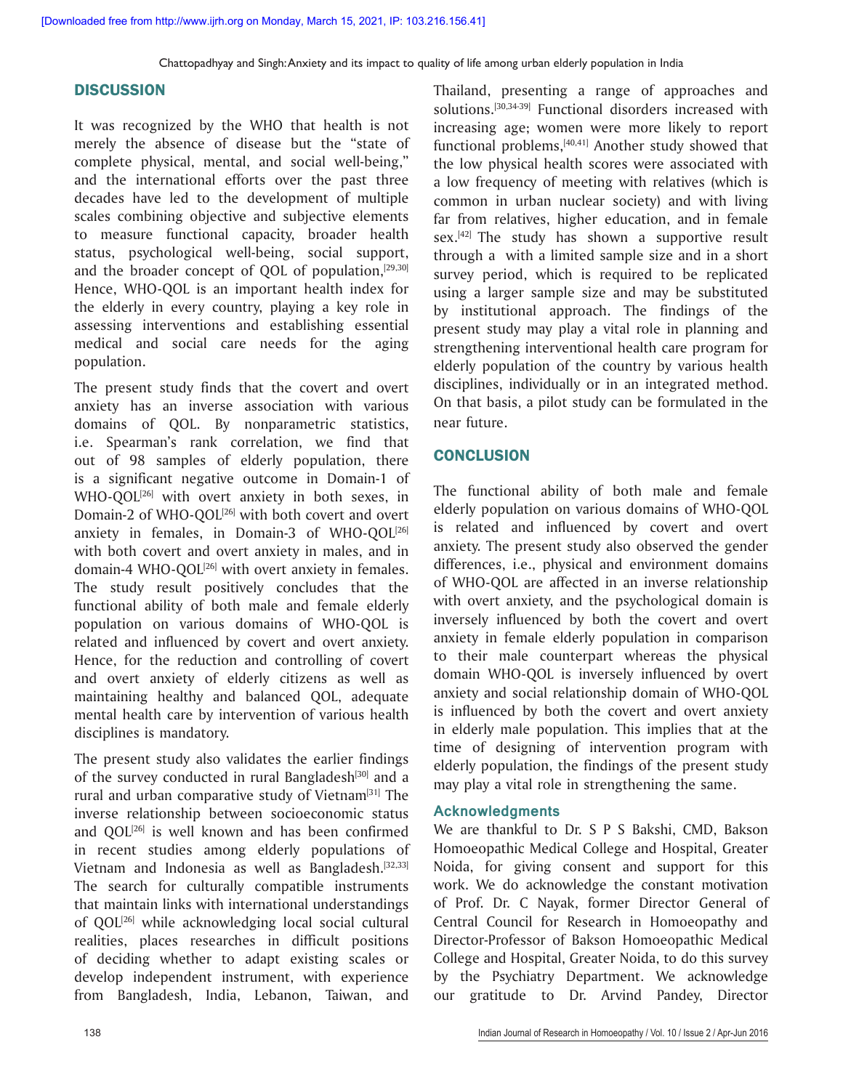#### **DISCUSSION**

It was recognized by the WHO that health is not merely the absence of disease but the "state of complete physical, mental, and social well-being," and the international efforts over the past three decades have led to the development of multiple scales combining objective and subjective elements to measure functional capacity, broader health status, psychological well-being, social support, and the broader concept of QOL of population, $[29,30]$ Hence, WHO-QOL is an important health index for the elderly in every country, playing a key role in assessing interventions and establishing essential medical and social care needs for the aging population.

The present study finds that the covert and overt anxiety has an inverse association with various domains of QOL. By nonparametric statistics, i.e. Spearman's rank correlation, we find that out of 98 samples of elderly population, there is a significant negative outcome in Domain-1 of WHO-QOL<sup>[26]</sup> with overt anxiety in both sexes, in Domain-2 of WHO-QOL<sup>[26]</sup> with both covert and overt anxiety in females, in Domain-3 of WHO-QOL<sup>[26]</sup> with both covert and overt anxiety in males, and in domain-4 WHO-QOL<sup>[26]</sup> with overt anxiety in females. The study result positively concludes that the functional ability of both male and female elderly population on various domains of WHO-QOL is related and influenced by covert and overt anxiety. Hence, for the reduction and controlling of covert and overt anxiety of elderly citizens as well as maintaining healthy and balanced QOL, adequate mental health care by intervention of various health disciplines is mandatory.

The present study also validates the earlier findings of the survey conducted in rural Bangladesh $[30]$  and a rural and urban comparative study of Vietnam<sup>[31]</sup> The inverse relationship between socioeconomic status and  $QOL^{[26]}$  is well known and has been confirmed in recent studies among elderly populations of Vietnam and Indonesia as well as Bangladesh.<sup>[32,33]</sup> The search for culturally compatible instruments that maintain links with international understandings of QOL<sup>[26]</sup> while acknowledging local social cultural realities, places researches in difficult positions of deciding whether to adapt existing scales or develop independent instrument, with experience from Bangladesh, India, Lebanon, Taiwan, and

Thailand, presenting a range of approaches and solutions.[30,34-39] Functional disorders increased with increasing age; women were more likely to report functional problems,[40,41] Another study showed that the low physical health scores were associated with a low frequency of meeting with relatives (which is common in urban nuclear society) and with living far from relatives, higher education, and in female sex.<sup>[42]</sup> The study has shown a supportive result through a with a limited sample size and in a short survey period, which is required to be replicated using a larger sample size and may be substituted by institutional approach. The findings of the present study may play a vital role in planning and strengthening interventional health care program for elderly population of the country by various health disciplines, individually or in an integrated method. On that basis, a pilot study can be formulated in the near future.

#### **CONCLUSION**

The functional ability of both male and female elderly population on various domains of WHO-QOL is related and influenced by covert and overt anxiety. The present study also observed the gender differences, i.e., physical and environment domains of WHO-QOL are affected in an inverse relationship with overt anxiety, and the psychological domain is inversely influenced by both the covert and overt anxiety in female elderly population in comparison to their male counterpart whereas the physical domain WHO-QOL is inversely influenced by overt anxiety and social relationship domain of WHO-QOL is influenced by both the covert and overt anxiety in elderly male population. This implies that at the time of designing of intervention program with elderly population, the findings of the present study may play a vital role in strengthening the same.

#### **Acknowledgments**

We are thankful to Dr. S P S Bakshi, CMD, Bakson Homoeopathic Medical College and Hospital, Greater Noida, for giving consent and support for this work. We do acknowledge the constant motivation of Prof. Dr. C Nayak, former Director General of Central Council for Research in Homoeopathy and Director-Professor of Bakson Homoeopathic Medical College and Hospital, Greater Noida, to do this survey by the Psychiatry Department. We acknowledge our gratitude to Dr. Arvind Pandey, Director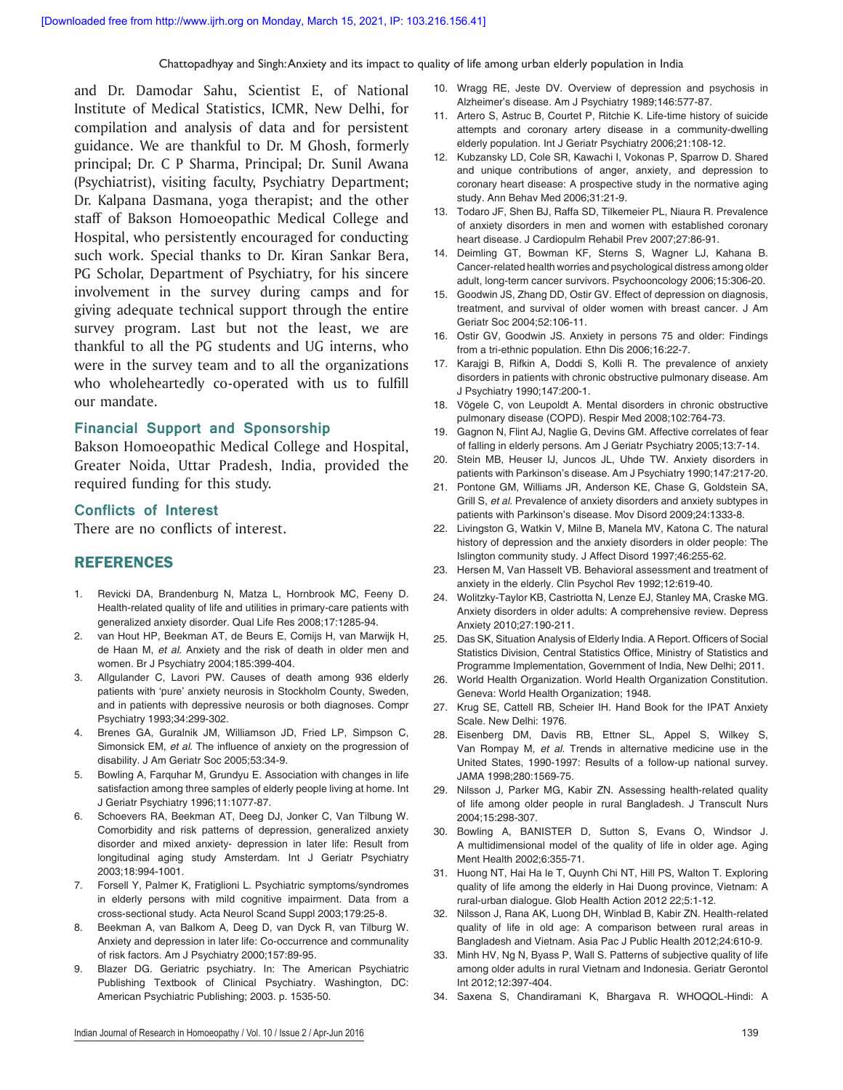and Dr. Damodar Sahu, Scientist E, of National Institute of Medical Statistics, ICMR, New Delhi, for compilation and analysis of data and for persistent guidance. We are thankful to Dr. M Ghosh, formerly principal; Dr. C P Sharma, Principal; Dr. Sunil Awana (Psychiatrist), visiting faculty, Psychiatry Department; Dr. Kalpana Dasmana, yoga therapist; and the other staff of Bakson Homoeopathic Medical College and Hospital, who persistently encouraged for conducting such work. Special thanks to Dr. Kiran Sankar Bera, PG Scholar, Department of Psychiatry, for his sincere involvement in the survey during camps and for giving adequate technical support through the entire survey program. Last but not the least, we are thankful to all the PG students and UG interns, who were in the survey team and to all the organizations who wholeheartedly co-operated with us to fulfill our mandate.

#### **Financial Support and Sponsorship**

Bakson Homoeopathic Medical College and Hospital, Greater Noida, Uttar Pradesh, India, provided the required funding for this study.

#### **Conflicts of Interest**

There are no conflicts of interest.

#### REFERENCES

- 1. Revicki DA, Brandenburg N, Matza L, Hornbrook MC, Feeny D. Health-related quality of life and utilities in primary-care patients with generalized anxiety disorder. Qual Life Res 2008;17:1285-94.
- 2. van Hout HP, Beekman AT, de Beurs E, Comijs H, van Marwijk H, de Haan M, *et al.* Anxiety and the risk of death in older men and women. Br J Psychiatry 2004;185:399‑404.
- 3. Allgulander C, Lavori PW. Causes of death among 936 elderly patients with 'pure' anxiety neurosis in Stockholm County, Sweden, and in patients with depressive neurosis or both diagnoses. Compr Psychiatry 1993;34:299‑302.
- 4. Brenes GA, Guralnik JM, Williamson JD, Fried LP, Simpson C, Simonsick EM, *et al.* The influence of anxiety on the progression of disability. J Am Geriatr Soc 2005;53:34‑9.
- 5. Bowling A, Farquhar M, Grundyu E. Association with changes in life satisfaction among three samples of elderly people living at home. Int J Geriatr Psychiatry 1996;11:1077‑87.
- 6. Schoevers RA, Beekman AT, Deeg DJ, Jonker C, Van Tilbung W. Comorbidity and risk patterns of depression, generalized anxiety disorder and mixed anxiety‑ depression in later life: Result from longitudinal aging study Amsterdam. Int J Geriatr Psychiatry 2003;18:994‑1001.
- 7. Forsell Y, Palmer K, Fratiglioni L. Psychiatric symptoms/syndromes in elderly persons with mild cognitive impairment. Data from a cross‑sectional study. Acta Neurol Scand Suppl 2003;179:25‑8.
- 8. Beekman A, van Balkom A, Deeg D, van Dyck R, van Tilburg W. Anxiety and depression in later life: Co‑occurrence and communality of risk factors. Am J Psychiatry 2000;157:89‑95.
- 9. Blazer DG. Geriatric psychiatry. In: The American Psychiatric Publishing Textbook of Clinical Psychiatry. Washington, DC: American Psychiatric Publishing; 2003. p. 1535‑50.
- 10. Wragg RE, Jeste DV. Overview of depression and psychosis in Alzheimer's disease. Am J Psychiatry 1989;146:577‑87.
- 11. Artero S, Astruc B, Courtet P, Ritchie K. Life-time history of suicide attempts and coronary artery disease in a community-dwelling elderly population. Int J Geriatr Psychiatry 2006;21:108-12.
- 12. Kubzansky LD, Cole SR, Kawachi I, Vokonas P, Sparrow D. Shared and unique contributions of anger, anxiety, and depression to coronary heart disease: A prospective study in the normative aging study. Ann Behav Med 2006;31:21‑9.
- 13. Todaro JF, Shen BJ, Raffa SD, Tilkemeier PL, Niaura R. Prevalence of anxiety disorders in men and women with established coronary heart disease. J Cardiopulm Rehabil Prev 2007;27:86‑91.
- 14. Deimling GT, Bowman KF, Sterns S, Wagner LJ, Kahana B. Cancer‑related health worries and psychological distress among older adult, long-term cancer survivors. Psychooncology 2006;15:306-20.
- 15. Goodwin JS, Zhang DD, Ostir GV. Effect of depression on diagnosis, treatment, and survival of older women with breast cancer. J Am Geriatr Soc 2004;52:106‑11.
- 16. Ostir GV, Goodwin JS. Anxiety in persons 75 and older: Findings from a tri-ethnic population. Ethn Dis 2006;16:22-7.
- 17. Karajgi B, Rifkin A, Doddi S, Kolli R. The prevalence of anxiety disorders in patients with chronic obstructive pulmonary disease. Am J Psychiatry 1990;147:200‑1.
- 18. Vögele C, von Leupoldt A. Mental disorders in chronic obstructive pulmonary disease (COPD). Respir Med 2008;102:764-73.
- 19. Gagnon N, Flint AJ, Naglie G, Devins GM. Affective correlates of fear of falling in elderly persons. Am J Geriatr Psychiatry 2005;13:7‑14.
- 20. Stein MB, Heuser IJ, Juncos JL, Uhde TW. Anxiety disorders in patients with Parkinson's disease. Am J Psychiatry 1990;147:217‑20.
- 21. Pontone GM, Williams JR, Anderson KE, Chase G, Goldstein SA, Grill S, *et al.* Prevalence of anxiety disorders and anxiety subtypes in patients with Parkinson's disease. Mov Disord 2009;24:1333-8.
- 22. Livingston G, Watkin V, Milne B, Manela MV, Katona C. The natural history of depression and the anxiety disorders in older people: The Islington community study. J Affect Disord 1997;46:255‑62.
- 23. Hersen M, Van Hasselt VB. Behavioral assessment and treatment of anxiety in the elderly. Clin Psychol Rev 1992;12:619-40.
- 24. Wolitzky-Taylor KB, Castriotta N, Lenze EJ, Stanley MA, Craske MG. Anxiety disorders in older adults: A comprehensive review. Depress Anxiety 2010;27:190‑211.
- 25. Das SK, Situation Analysis of Elderly India. A Report. Officers of Social Statistics Division, Central Statistics Office, Ministry of Statistics and Programme Implementation, Government of India, New Delhi; 2011.
- 26. World Health Organization. World Health Organization Constitution. Geneva: World Health Organization; 1948.
- 27. Krug SE, Cattell RB, Scheier IH. Hand Book for the IPAT Anxiety Scale. New Delhi: 1976.
- 28. Eisenberg DM, Davis RB, Ettner SL, Appel S, Wilkey S, Van Rompay M, *et al.* Trends in alternative medicine use in the United States, 1990-1997: Results of a follow-up national survey. JAMA 1998;280:1569‑75.
- 29. Nilsson J, Parker MG, Kabir ZN. Assessing health-related quality of life among older people in rural Bangladesh. J Transcult Nurs 2004;15:298‑307.
- 30. Bowling A, BANISTER D, Sutton S, Evans O, Windsor J. A multidimensional model of the quality of life in older age. Aging Ment Health 2002;6:355‑71.
- 31. Huong NT, Hai Ha le T, Quynh Chi NT, Hill PS, Walton T. Exploring quality of life among the elderly in Hai Duong province, Vietnam: A rural‑urban dialogue. Glob Health Action 2012 22;5:1‑12.
- 32. Nilsson J, Rana AK, Luong DH, Winblad B, Kabir ZN. Health-related quality of life in old age: A comparison between rural areas in Bangladesh and Vietnam. Asia Pac J Public Health 2012;24:610-9.
- 33. Minh HV, Ng N, Byass P, Wall S. Patterns of subjective quality of life among older adults in rural Vietnam and Indonesia. Geriatr Gerontol Int 2012;12:397‑404.
- 34. Saxena S, Chandiramani K, Bhargava R. WHOQOL-Hindi: A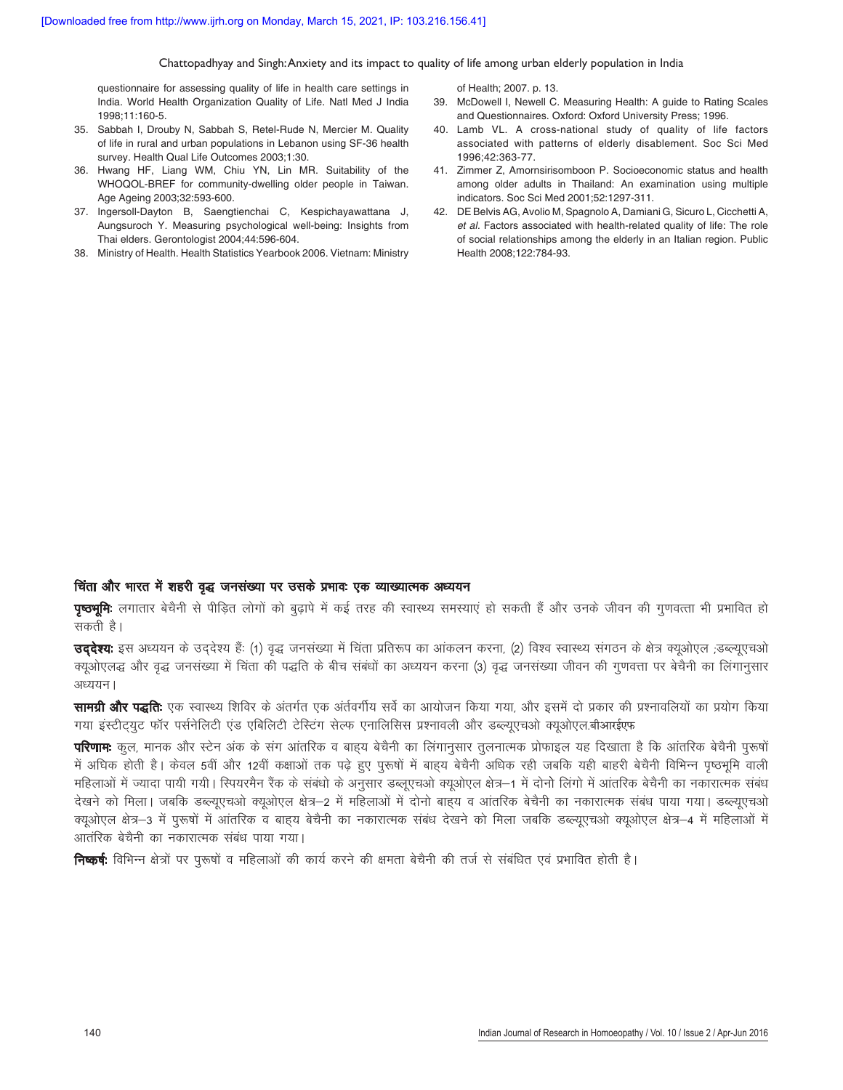questionnaire for assessing quality of life in health care settings in India. World Health Organization Quality of Life. Natl Med J India 1998;11:160‑5.

- 35. Sabbah I, Drouby N, Sabbah S, Retel-Rude N, Mercier M. Quality of life in rural and urban populations in Lebanon using SF‑36 health survey. Health Qual Life Outcomes 2003;1:30.
- 36. Hwang HF, Liang WM, Chiu YN, Lin MR. Suitability of the WHOQOL-BREF for community-dwelling older people in Taiwan. Age Ageing 2003;32:593‑600.
- 37. Ingersoll‑Dayton B, Saengtienchai C, Kespichayawattana J, Aungsuroch Y. Measuring psychological well‑being: Insights from Thai elders. Gerontologist 2004;44:596‑604.
- 38. Ministry of Health. Health Statistics Yearbook 2006. Vietnam: Ministry

of Health; 2007. p. 13.

- 39. McDowell I, Newell C. Measuring Health: A guide to Rating Scales and Questionnaires. Oxford: Oxford University Press; 1996.
- 40. Lamb VL. A cross-national study of quality of life factors associated with patterns of elderly disablement. Soc Sci Med 1996;42:363‑77.
- 41. Zimmer Z, Amornsirisomboon P. Socioeconomic status and health among older adults in Thailand: An examination using multiple indicators. Soc Sci Med 2001;52:1297‑311.
- 42. DE Belvis AG, Avolio M, Spagnolo A, Damiani G, Sicuro L, Cicchetti A, et *al.* Factors associated with health-related quality of life: The role of social relationships among the elderly in an Italian region. Public Health 2008;122:784‑93.

#### चिंता और भारत में शहरी वृद्ध जनसंख्या पर उसके प्रभावः एक व्याख्यात्मक अध्ययन

**पृष्ठभूमिः** लगातार बेचैनी से पीडित लोगों को बृढापे में कई तरह की स्वास्थ्य समस्याएं हो सकती हैं और उनके जीवन की गुणवत्ता भी प्रभावित हो सकती है।

**उददेश्य:** इस अध्ययन के उददेश्य हैं: (1) वृद्ध जनसंख्या में चिंता प्रतिरूप का आंकलन करना, (2) विश्व स्वास्थ्य संगठन के क्षेत्र क्युओएल ;डब्ल्युएचओ क्यूओएलद्ध और वृद्ध जनसंख्या में चिंता की पद्धति के बीच संबंधों का अध्ययन करना (3) वृद्ध जनसंख्या जीवन की गुणवत्ता पर बेचैनी का लिंगानुसार  $3EZZT$ ।

**सामग्री और पद्धतिः** एक स्वास्थ्य शिविर के अंतर्गत एक अंर्तवर्गीय सर्वे का आयोजन किया गया, और इसमें दो प्रकार की प्रश्नावलियों का प्रयोग किया गया इंस्टीटयूट फॉर पर्सनेलिटी एंड एबिलिटी टेस्टिंग सेल्फ एनालिसिस प्रश्नावली और डब्ल्युएचओ क्यूओएल.बीआरईएफ

**परिणामः** कल, मानक और स्टेन अंक के संग आंतरिक व बाहय बेचैनी का लिंगानुसार तुलनात्मक प्रोफाइल यह दिखाता है कि आंतरिक बेचैनी पुरूषों में अघिक होती है। केवल 5वीं और 12वीं कक्षाओं तक पढ़े हुए पुरूषों में बाह्य बेचैनी अधिक रही जबकि यही बाहरी बेचैनी विभिन्न पृष्ठभूमि वाली महिलाओं में ज्यादा पायी गयी। स्पियरमैन रैंक के संबंधो के अनुसार डब्लुएचओ क्यूओएल क्षेत्र—1 में दोनो लिंगो में आंतरिक बेचैनी का नकारात्मक संबंध देखने को मिला। जबकि डब्ल्यूएचओ क्यूओएल क्षेत्र—2 में महिलाओं में दोनो बाह्य व आंतरिक बेचैनी का नकारात्मक संबंध पाया गया। डब्ल्यूएचओ क्युओएल क्षेत्र—3 में पुरूषों में आंतरिक व बाहय बेचैनी का नकारात्मक संबंध देखने को मिला जबकि डब्ल्युएचओ क्युओएल क्षेत्र—4 में महिलाओं में आतंरिक बेचैनी का नकारात्मक संबंध पाया गया।

**निष्कर्षः** विभिन्न क्षेत्रों पर पुरूषों व महिलाओं की कार्य करने की क्षमता बेचैनी की तर्ज से संबंधित एवं प्रभावित होती है।